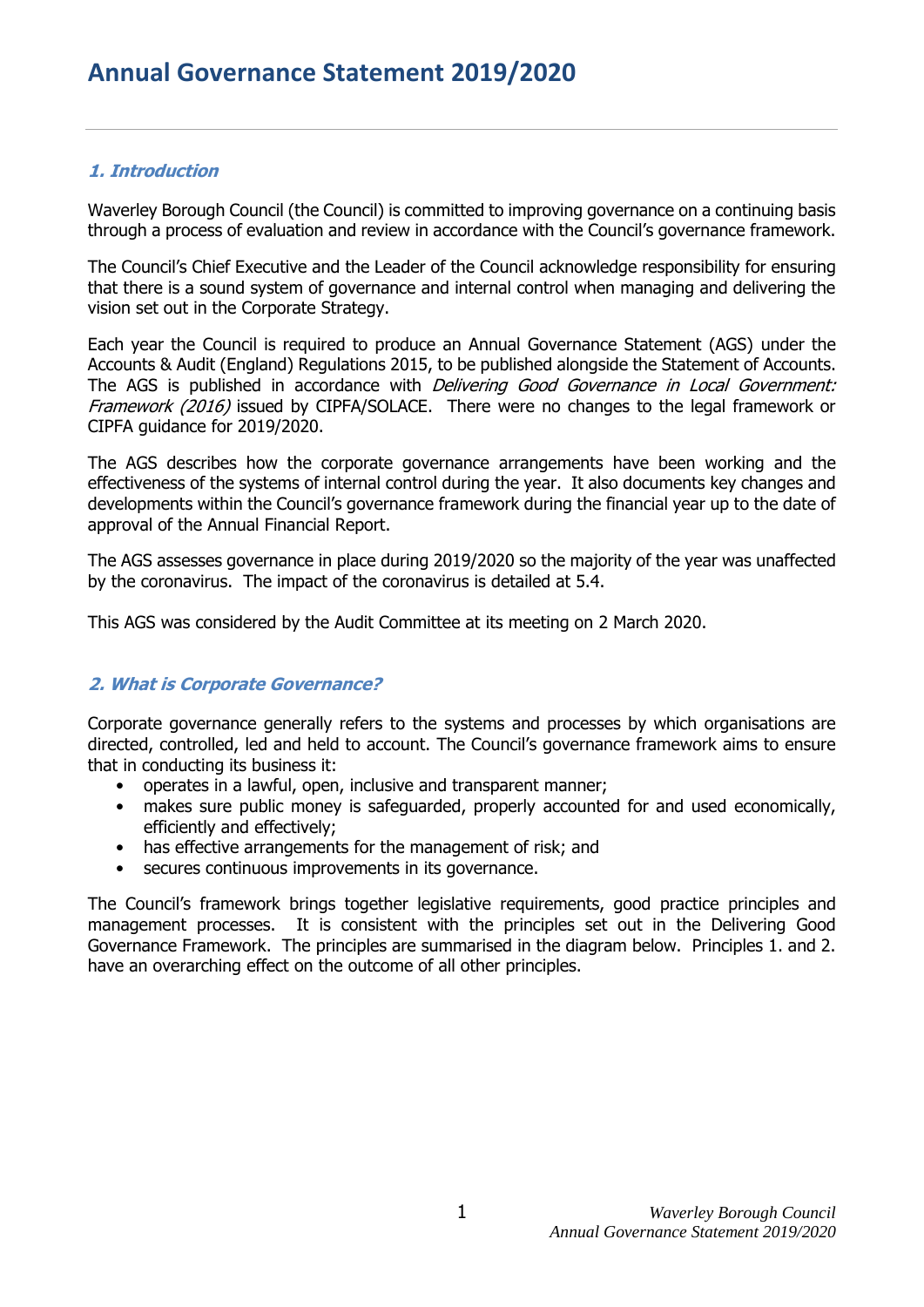## **1. Introduction**

Waverley Borough Council (the Council) is committed to improving governance on a continuing basis through a process of evaluation and review in accordance with the Council's governance framework.

The Council's Chief Executive and the Leader of the Council acknowledge responsibility for ensuring that there is a sound system of governance and internal control when managing and delivering the vision set out in the Corporate Strategy.

Each year the Council is required to produce an Annual Governance Statement (AGS) under the Accounts & Audit (England) Regulations 2015, to be published alongside the Statement of Accounts. The AGS is published in accordance with *Delivering Good Governance in Local Government:* Framework (2016) issued by CIPFA/SOLACE. There were no changes to the legal framework or CIPFA guidance for 2019/2020.

The AGS describes how the corporate governance arrangements have been working and the effectiveness of the systems of internal control during the year. It also documents key changes and developments within the Council's governance framework during the financial year up to the date of approval of the Annual Financial Report.

The AGS assesses governance in place during 2019/2020 so the majority of the year was unaffected by the coronavirus. The impact of the coronavirus is detailed at 5.4.

This AGS was considered by the Audit Committee at its meeting on 2 March 2020.

## **2. What is Corporate Governance?**

Corporate governance generally refers to the systems and processes by which organisations are directed, controlled, led and held to account. The Council's governance framework aims to ensure that in conducting its business it:

- operates in a lawful, open, inclusive and transparent manner;
- makes sure public money is safeguarded, properly accounted for and used economically, efficiently and effectively;
- has effective arrangements for the management of risk; and
- secures continuous improvements in its governance.

The Council's framework brings together legislative requirements, good practice principles and management processes. It is consistent with the principles set out in the Delivering Good Governance Framework. The principles are summarised in the diagram below. Principles 1. and 2. have an overarching effect on the outcome of all other principles.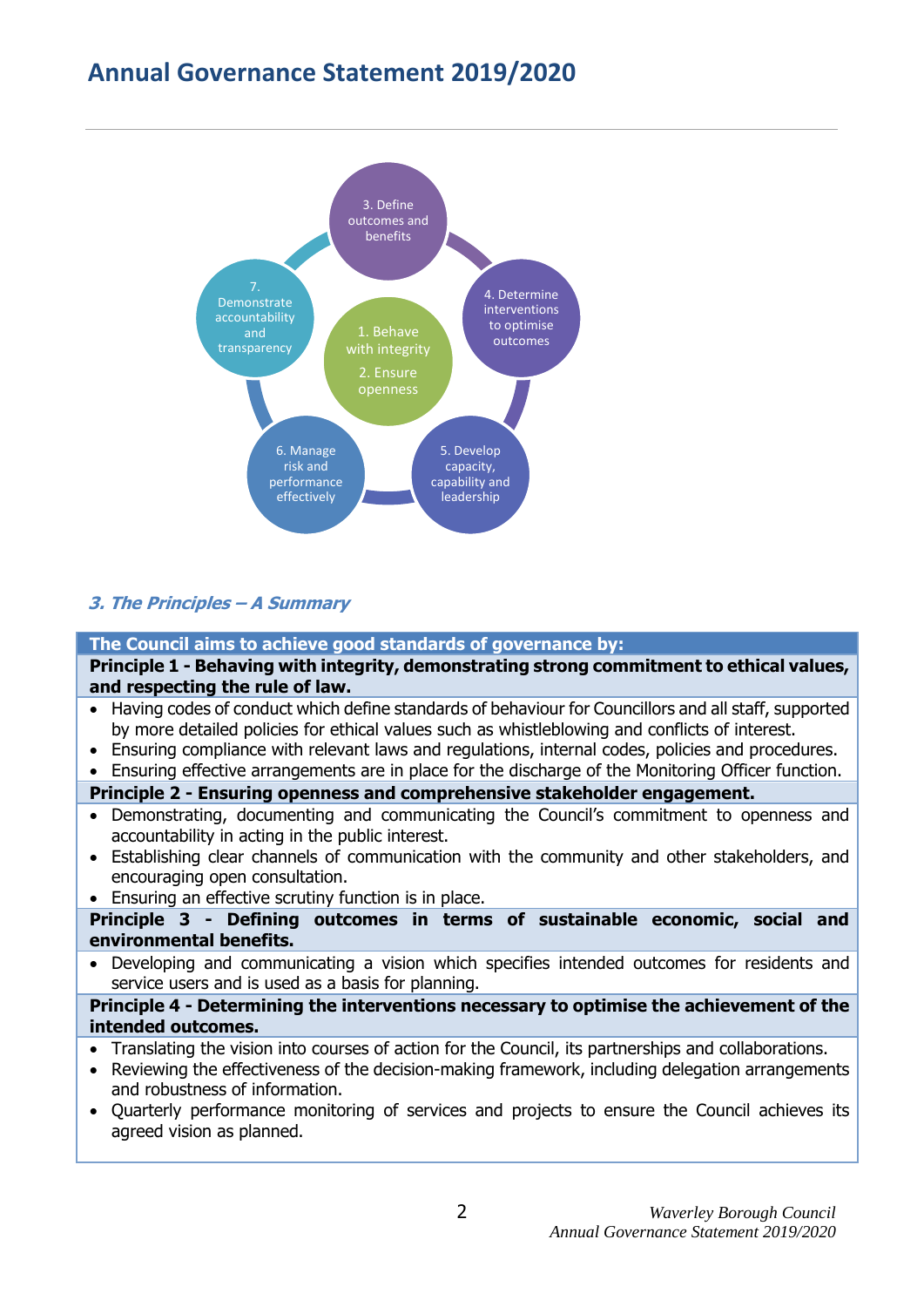# **Annual Governance Statement 2019/2020**



## **3. The Principles – A Summary**

**The Council aims to achieve good standards of governance by:**

**Principle 1 - Behaving with integrity, demonstrating strong commitment to ethical values, and respecting the rule of law.**

- Having codes of conduct which define standards of behaviour for Councillors and all staff, supported by more detailed policies for ethical values such as whistleblowing and conflicts of interest.
- Ensuring compliance with relevant laws and regulations, internal codes, policies and procedures.
- Ensuring effective arrangements are in place for the discharge of the Monitoring Officer function.

## **Principle 2 - Ensuring openness and comprehensive stakeholder engagement.**

- Demonstrating, documenting and communicating the Council's commitment to openness and accountability in acting in the public interest.
- Establishing clear channels of communication with the community and other stakeholders, and encouraging open consultation.
- Ensuring an effective scrutiny function is in place.

**Principle 3 - Defining outcomes in terms of sustainable economic, social and environmental benefits.**

 Developing and communicating a vision which specifies intended outcomes for residents and service users and is used as a basis for planning.

#### **Principle 4 - Determining the interventions necessary to optimise the achievement of the intended outcomes.**

- Translating the vision into courses of action for the Council, its partnerships and collaborations.
- Reviewing the effectiveness of the decision-making framework, including delegation arrangements and robustness of information.
- Quarterly performance monitoring of services and projects to ensure the Council achieves its agreed vision as planned.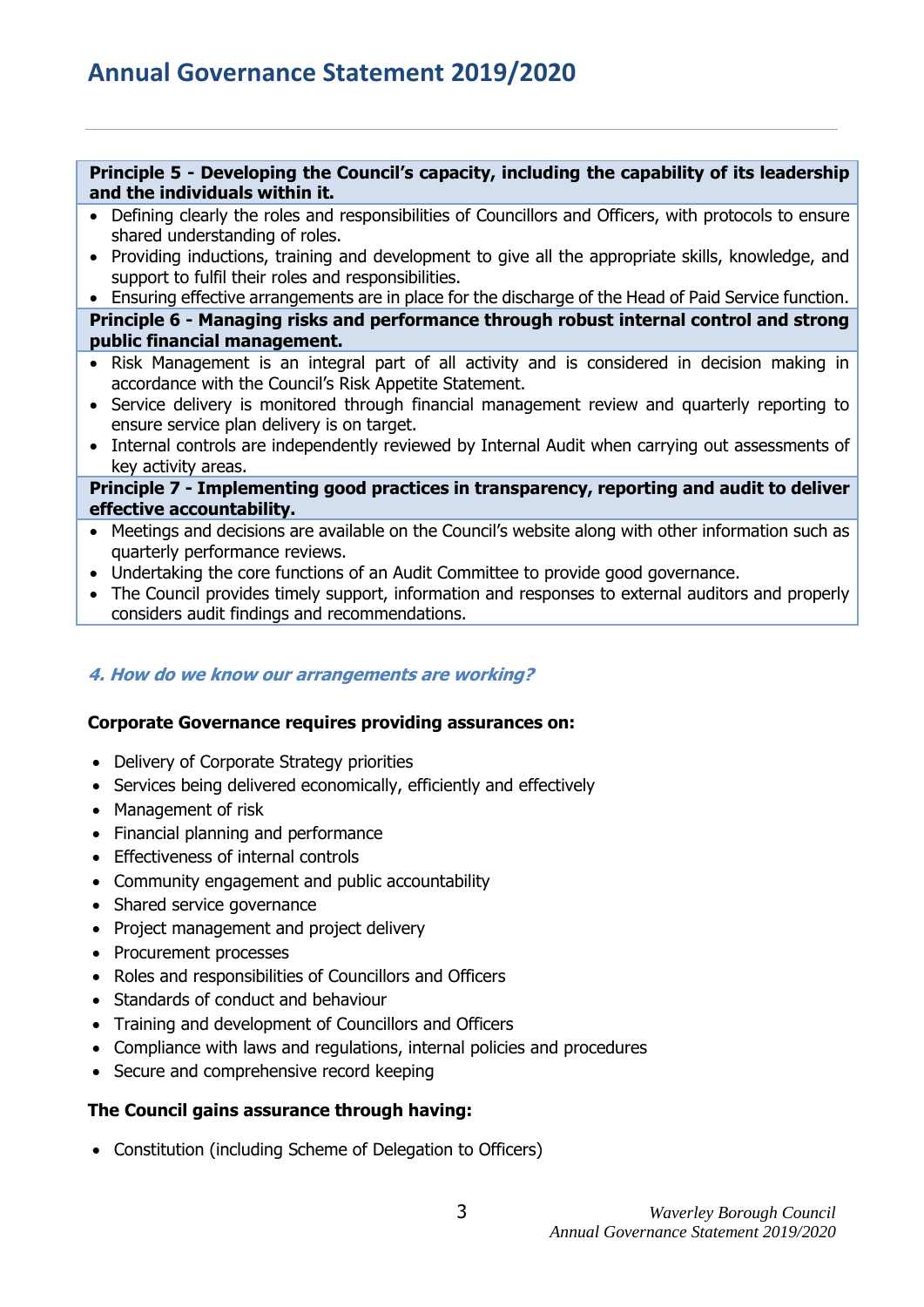#### **Principle 5 - Developing the Council's capacity, including the capability of its leadership and the individuals within it.**

- Defining clearly the roles and responsibilities of Councillors and Officers, with protocols to ensure shared understanding of roles.
- Providing inductions, training and development to give all the appropriate skills, knowledge, and support to fulfil their roles and responsibilities.

 Ensuring effective arrangements are in place for the discharge of the Head of Paid Service function. **Principle 6 - Managing risks and performance through robust internal control and strong public financial management.**

- Risk Management is an integral part of all activity and is considered in decision making in accordance with the Council's Risk Appetite Statement.
- Service delivery is monitored through financial management review and quarterly reporting to ensure service plan delivery is on target.
- Internal controls are independently reviewed by Internal Audit when carrying out assessments of key activity areas.

#### **Principle 7 - Implementing good practices in transparency, reporting and audit to deliver effective accountability.**

- Meetings and decisions are available on the Council's website along with other information such as quarterly performance reviews.
- Undertaking the core functions of an Audit Committee to provide good governance.
- The Council provides timely support, information and responses to external auditors and properly considers audit findings and recommendations.

## **4. How do we know our arrangements are working?**

## **Corporate Governance requires providing assurances on:**

- Delivery of Corporate Strategy priorities
- Services being delivered economically, efficiently and effectively
- Management of risk
- Financial planning and performance
- Effectiveness of internal controls
- Community engagement and public accountability
- Shared service governance
- Project management and project delivery
- Procurement processes
- Roles and responsibilities of Councillors and Officers
- Standards of conduct and behaviour
- Training and development of Councillors and Officers
- Compliance with laws and regulations, internal policies and procedures
- Secure and comprehensive record keeping

## **The Council gains assurance through having:**

Constitution (including Scheme of Delegation to Officers)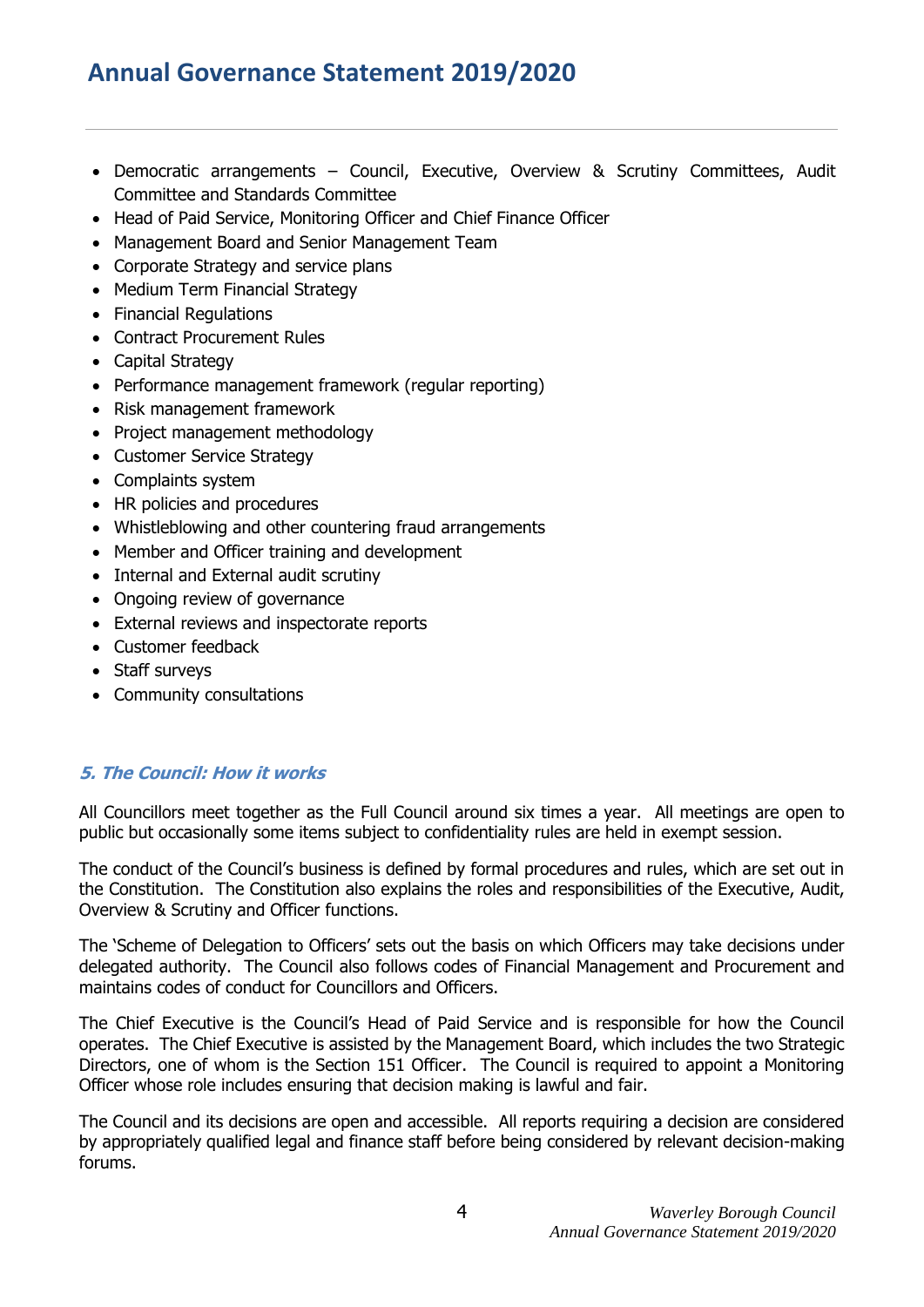# **Annual Governance Statement 2019/2020**

- Democratic arrangements Council, Executive, Overview & Scrutiny Committees, Audit Committee and Standards Committee
- Head of Paid Service, Monitoring Officer and Chief Finance Officer
- Management Board and Senior Management Team
- Corporate Strategy and service plans
- Medium Term Financial Strategy
- Financial Regulations
- Contract Procurement Rules
- Capital Strategy
- Performance management framework (regular reporting)
- Risk management framework
- Project management methodology
- Customer Service Strategy
- Complaints system
- HR policies and procedures
- Whistleblowing and other countering fraud arrangements
- Member and Officer training and development
- Internal and External audit scrutiny
- Ongoing review of governance
- External reviews and inspectorate reports
- Customer feedback
- Staff surveys
- Community consultations

## **5. The Council: How it works**

All Councillors meet together as the Full Council around six times a year. All meetings are open to public but occasionally some items subject to confidentiality rules are held in exempt session.

The conduct of the Council's business is defined by formal procedures and rules, which are set out in the Constitution. The Constitution also explains the roles and responsibilities of the Executive, Audit, Overview & Scrutiny and Officer functions.

The 'Scheme of Delegation to Officers' sets out the basis on which Officers may take decisions under delegated authority. The Council also follows codes of Financial Management and Procurement and maintains codes of conduct for Councillors and Officers.

The Chief Executive is the Council's Head of Paid Service and is responsible for how the Council operates. The Chief Executive is assisted by the Management Board, which includes the two Strategic Directors, one of whom is the Section 151 Officer. The Council is required to appoint a Monitoring Officer whose role includes ensuring that decision making is lawful and fair.

The Council and its decisions are open and accessible. All reports requiring a decision are considered by appropriately qualified legal and finance staff before being considered by relevant decision-making forums.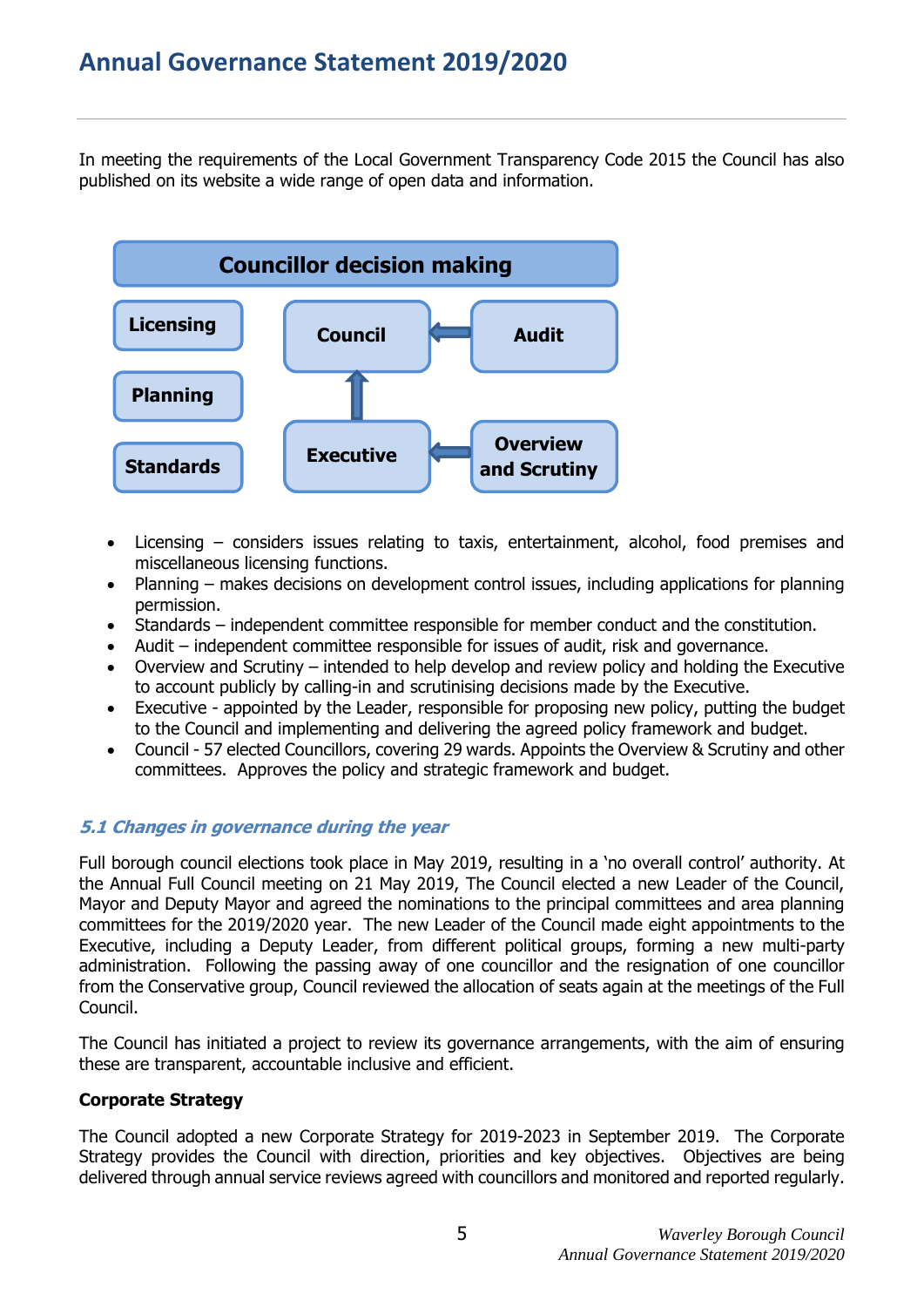In meeting the requirements of the Local Government Transparency Code 2015 the Council has also published on its website a wide range of open data and information.



- Licensing considers issues relating to taxis, entertainment, alcohol, food premises and miscellaneous licensing functions.
- Planning makes decisions on development control issues, including applications for planning permission.
- Standards independent committee responsible for member conduct and the constitution.
- Audit independent committee responsible for issues of audit, risk and governance.
- Overview and Scrutiny intended to help develop and review policy and holding the Executive to account publicly by calling-in and scrutinising decisions made by the Executive.
- Executive appointed by the Leader, responsible for proposing new policy, putting the budget to the Council and implementing and delivering the agreed policy framework and budget.
- Council 57 elected Councillors, covering 29 wards. Appoints the Overview & Scrutiny and other committees. Approves the policy and strategic framework and budget.

## **5.1 Changes in governance during the year**

Full borough council elections took place in May 2019, resulting in a 'no overall control' authority. At the Annual Full Council meeting on 21 May 2019, The Council elected a new Leader of the Council, Mayor and Deputy Mayor and agreed the nominations to the principal committees and area planning committees for the 2019/2020 year. The new Leader of the Council made eight appointments to the Executive, including a Deputy Leader, from different political groups, forming a new multi-party administration. Following the passing away of one councillor and the resignation of one councillor from the Conservative group, Council reviewed the allocation of seats again at the meetings of the Full Council.

The Council has initiated a project to review its governance arrangements, with the aim of ensuring these are transparent, accountable inclusive and efficient.

## **Corporate Strategy**

The Council adopted a new Corporate Strategy for 2019-2023 in September 2019. The Corporate Strategy provides the Council with direction, priorities and key objectives. Objectives are being delivered through annual service reviews agreed with councillors and monitored and reported regularly.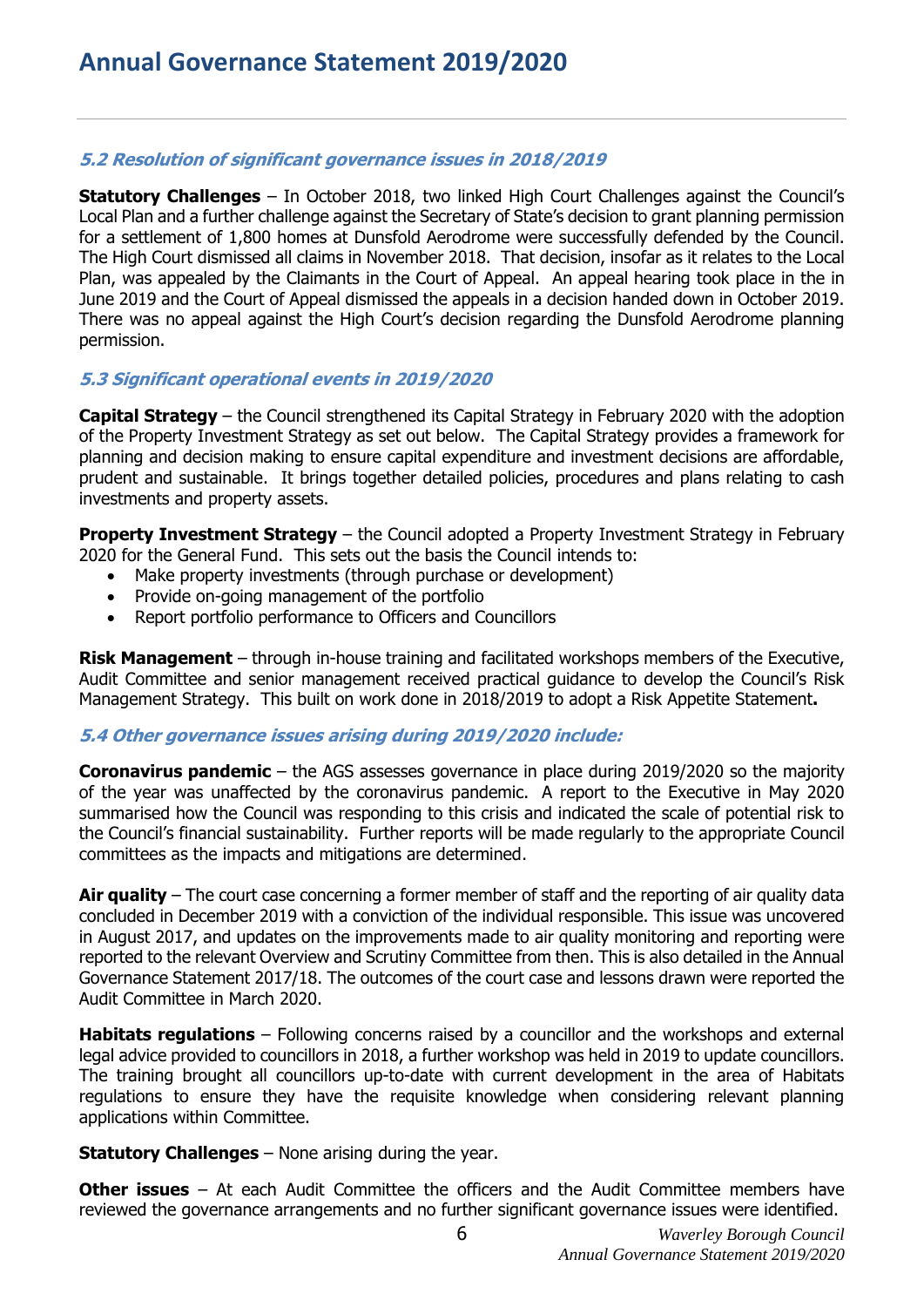## **5.2 Resolution of significant governance issues in 2018/2019**

**Statutory Challenges** – In October 2018, two linked High Court Challenges against the Council's Local Plan and a further challenge against the Secretary of State's decision to grant planning permission for a settlement of 1,800 homes at Dunsfold Aerodrome were successfully defended by the Council. The High Court dismissed all claims in November 2018. That decision, insofar as it relates to the Local Plan, was appealed by the Claimants in the Court of Appeal. An appeal hearing took place in the in June 2019 and the Court of Appeal dismissed the appeals in a decision handed down in October 2019. There was no appeal against the High Court's decision regarding the Dunsfold Aerodrome planning permission.

## **5.3 Significant operational events in 2019/2020**

**Capital Strategy** – the Council strengthened its Capital Strategy in February 2020 with the adoption of the Property Investment Strategy as set out below. The Capital Strategy provides a framework for planning and decision making to ensure capital expenditure and investment decisions are affordable, prudent and sustainable. It brings together detailed policies, procedures and plans relating to cash investments and property assets.

**Property Investment Strategy** – the Council adopted a Property Investment Strategy in February 2020 for the General Fund. This sets out the basis the Council intends to:

- Make property investments (through purchase or development)
- Provide on-going management of the portfolio
- Report portfolio performance to Officers and Councillors

**Risk Management** – through in-house training and facilitated workshops members of the Executive, Audit Committee and senior management received practical guidance to develop the Council's Risk Management Strategy. This built on work done in 2018/2019 to adopt a Risk Appetite Statement**.**

## **5.4 Other governance issues arising during 2019/2020 include:**

**Coronavirus pandemic** – the AGS assesses governance in place during 2019/2020 so the majority of the year was unaffected by the coronavirus pandemic. A report to the Executive in May 2020 summarised how the Council was responding to this crisis and indicated the scale of potential risk to the Council's financial sustainability. Further reports will be made regularly to the appropriate Council committees as the impacts and mitigations are determined.

**Air quality** – The court case concerning a former member of staff and the reporting of air quality data concluded in December 2019 with a conviction of the individual responsible. This issue was uncovered in August 2017, and updates on the improvements made to air quality monitoring and reporting were reported to the relevant Overview and Scrutiny Committee from then. This is also detailed in the Annual Governance Statement 2017/18. The outcomes of the court case and lessons drawn were reported the Audit Committee in March 2020.

**Habitats regulations** – Following concerns raised by a councillor and the workshops and external legal advice provided to councillors in 2018, a further workshop was held in 2019 to update councillors. The training brought all councillors up-to-date with current development in the area of Habitats regulations to ensure they have the requisite knowledge when considering relevant planning applications within Committee.

**Statutory Challenges** – None arising during the year.

**Other issues** – At each Audit Committee the officers and the Audit Committee members have reviewed the governance arrangements and no further significant governance issues were identified.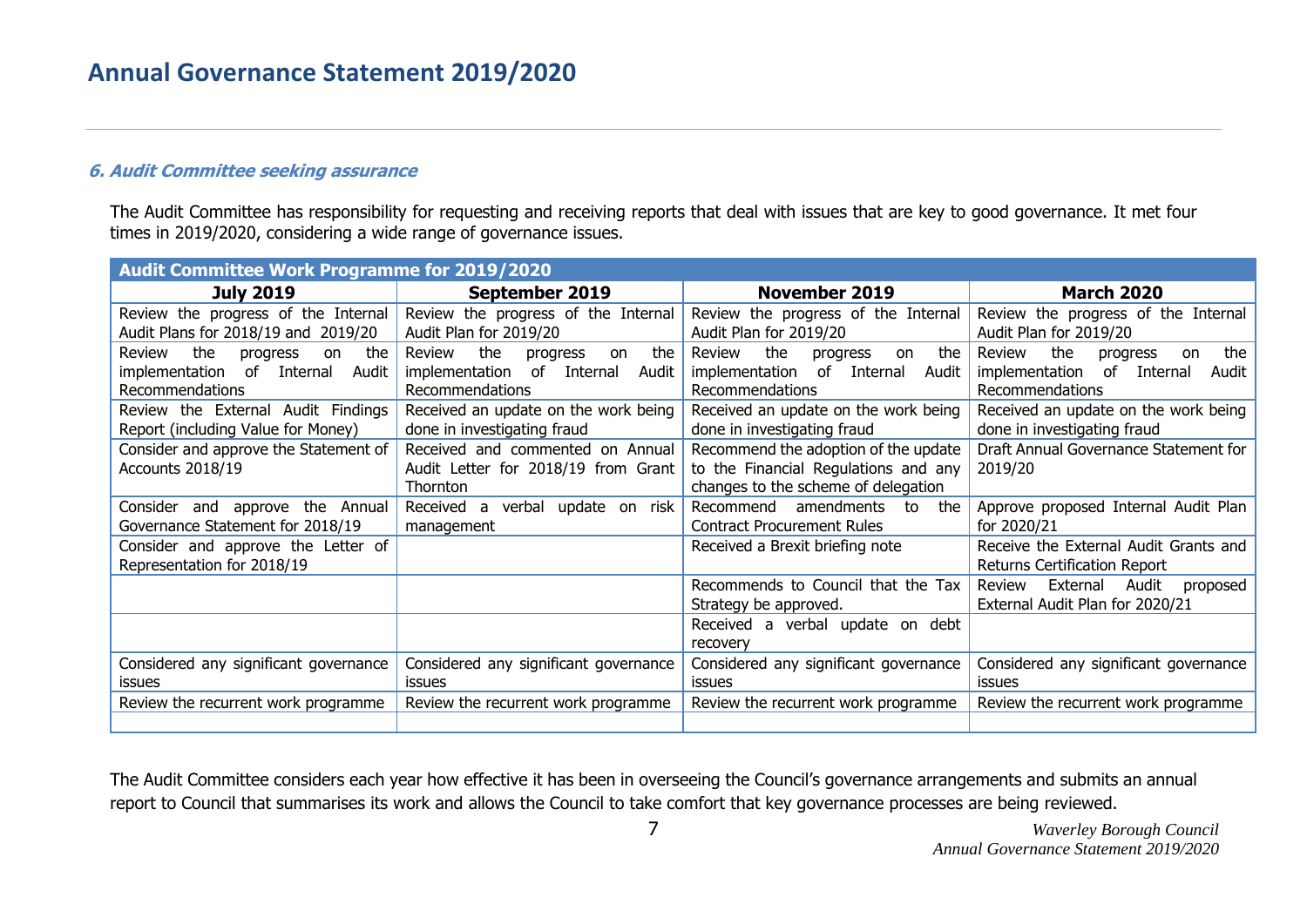## **6. Audit Committee seeking assurance**

The Audit Committee has responsibility for requesting and receiving reports that deal with issues that are key to good governance. It met four times in 2019/2020, considering a wide range of governance issues.

| <b>Audit Committee Work Programme for 2019/2020</b>                                           |                                                                                                  |                                                                                                                     |                                                                                                  |
|-----------------------------------------------------------------------------------------------|--------------------------------------------------------------------------------------------------|---------------------------------------------------------------------------------------------------------------------|--------------------------------------------------------------------------------------------------|
| <b>July 2019</b>                                                                              | September 2019                                                                                   | <b>November 2019</b>                                                                                                | <b>March 2020</b>                                                                                |
| Review the progress of the Internal<br>Audit Plans for 2018/19 and 2019/20                    | Review the progress of the Internal<br>Audit Plan for 2019/20                                    | Review the progress of the Internal<br>Audit Plan for 2019/20                                                       | Review the progress of the Internal<br>Audit Plan for 2019/20                                    |
| the<br>the<br>Review<br>progress<br>on<br>implementation of Internal Audit<br>Recommendations | the<br>the<br>Review<br>progress<br>on<br>implementation of Internal<br>Audit<br>Recommendations | the<br>the<br>Review<br>progress<br>on<br>implementation of Internal<br>Audit<br>Recommendations                    | the<br>the<br>Review<br>progress<br>on<br>implementation of Internal<br>Audit<br>Recommendations |
| Review the External Audit Findings<br>Report (including Value for Money)                      | Received an update on the work being<br>done in investigating fraud                              | Received an update on the work being<br>done in investigating fraud                                                 | Received an update on the work being<br>done in investigating fraud                              |
| Consider and approve the Statement of<br>Accounts 2018/19                                     | Received and commented on Annual<br>Audit Letter for 2018/19 from Grant<br>Thornton              | Recommend the adoption of the update<br>to the Financial Regulations and any<br>changes to the scheme of delegation | Draft Annual Governance Statement for<br>2019/20                                                 |
| Consider and approve the Annual<br>Governance Statement for 2018/19                           | Received a verbal update on risk<br>management                                                   | Recommend amendments<br>to<br>the<br><b>Contract Procurement Rules</b>                                              | Approve proposed Internal Audit Plan<br>for 2020/21                                              |
| Consider and approve the Letter of<br>Representation for 2018/19                              |                                                                                                  | Received a Brexit briefing note                                                                                     | Receive the External Audit Grants and<br>Returns Certification Report                            |
|                                                                                               |                                                                                                  | Recommends to Council that the Tax<br>Strategy be approved.                                                         | External Audit<br>Review<br>proposed<br>External Audit Plan for 2020/21                          |
|                                                                                               |                                                                                                  | Received a verbal update on debt<br>recovery                                                                        |                                                                                                  |
| Considered any significant governance<br><b>issues</b>                                        | Considered any significant governance<br><b>issues</b>                                           | Considered any significant governance<br><i>issues</i>                                                              | Considered any significant governance<br><b>issues</b>                                           |
| Review the recurrent work programme                                                           | Review the recurrent work programme                                                              | Review the recurrent work programme                                                                                 | Review the recurrent work programme                                                              |
|                                                                                               |                                                                                                  |                                                                                                                     |                                                                                                  |

The Audit Committee considers each year how effective it has been in overseeing the Council's governance arrangements and submits an annual report to Council that summarises its work and allows the Council to take comfort that key governance processes are being reviewed.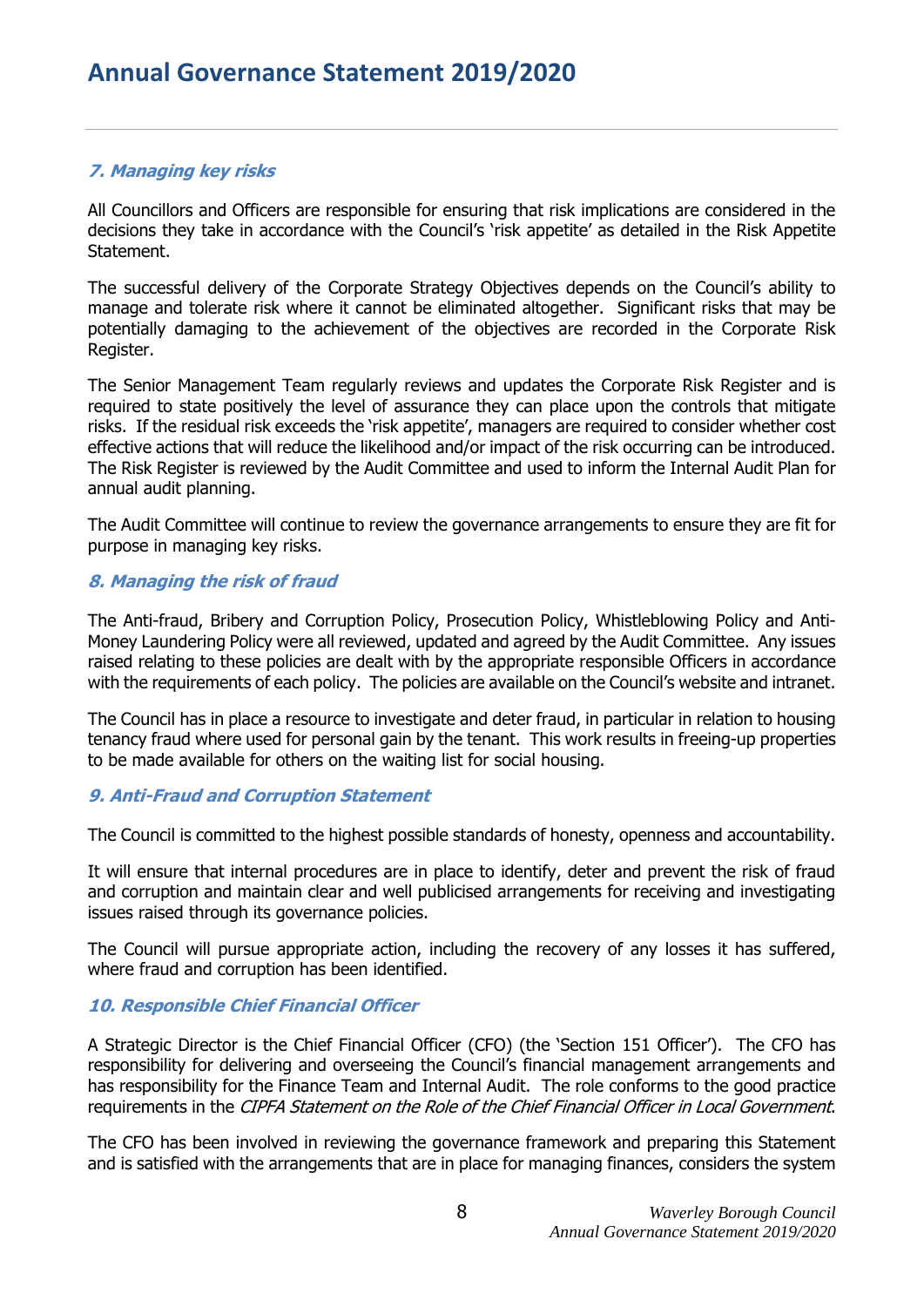## **7. Managing key risks**

All Councillors and Officers are responsible for ensuring that risk implications are considered in the decisions they take in accordance with the Council's 'risk appetite' as detailed in the Risk Appetite Statement.

The successful delivery of the Corporate Strategy Objectives depends on the Council's ability to manage and tolerate risk where it cannot be eliminated altogether. Significant risks that may be potentially damaging to the achievement of the objectives are recorded in the Corporate Risk Register.

The Senior Management Team regularly reviews and updates the Corporate Risk Register and is required to state positively the level of assurance they can place upon the controls that mitigate risks. If the residual risk exceeds the 'risk appetite', managers are required to consider whether cost effective actions that will reduce the likelihood and/or impact of the risk occurring can be introduced. The Risk Register is reviewed by the Audit Committee and used to inform the Internal Audit Plan for annual audit planning.

The Audit Committee will continue to review the governance arrangements to ensure they are fit for purpose in managing key risks.

## **8. Managing the risk of fraud**

The Anti-fraud, Bribery and Corruption Policy, Prosecution Policy, Whistleblowing Policy and Anti-Money Laundering Policy were all reviewed, updated and agreed by the Audit Committee. Any issues raised relating to these policies are dealt with by the appropriate responsible Officers in accordance with the requirements of each policy. The policies are available on the Council's website and intranet.

The Council has in place a resource to investigate and deter fraud, in particular in relation to housing tenancy fraud where used for personal gain by the tenant. This work results in freeing-up properties to be made available for others on the waiting list for social housing.

## **9. Anti-Fraud and Corruption Statement**

The Council is committed to the highest possible standards of honesty, openness and accountability.

It will ensure that internal procedures are in place to identify, deter and prevent the risk of fraud and corruption and maintain clear and well publicised arrangements for receiving and investigating issues raised through its governance policies.

The Council will pursue appropriate action, including the recovery of any losses it has suffered, where fraud and corruption has been identified.

## **10. Responsible Chief Financial Officer**

A Strategic Director is the Chief Financial Officer (CFO) (the 'Section 151 Officer'). The CFO has responsibility for delivering and overseeing the Council's financial management arrangements and has responsibility for the Finance Team and Internal Audit. The role conforms to the good practice requirements in the CIPFA Statement on the Role of the Chief Financial Officer in Local Government.

The CFO has been involved in reviewing the governance framework and preparing this Statement and is satisfied with the arrangements that are in place for managing finances, considers the system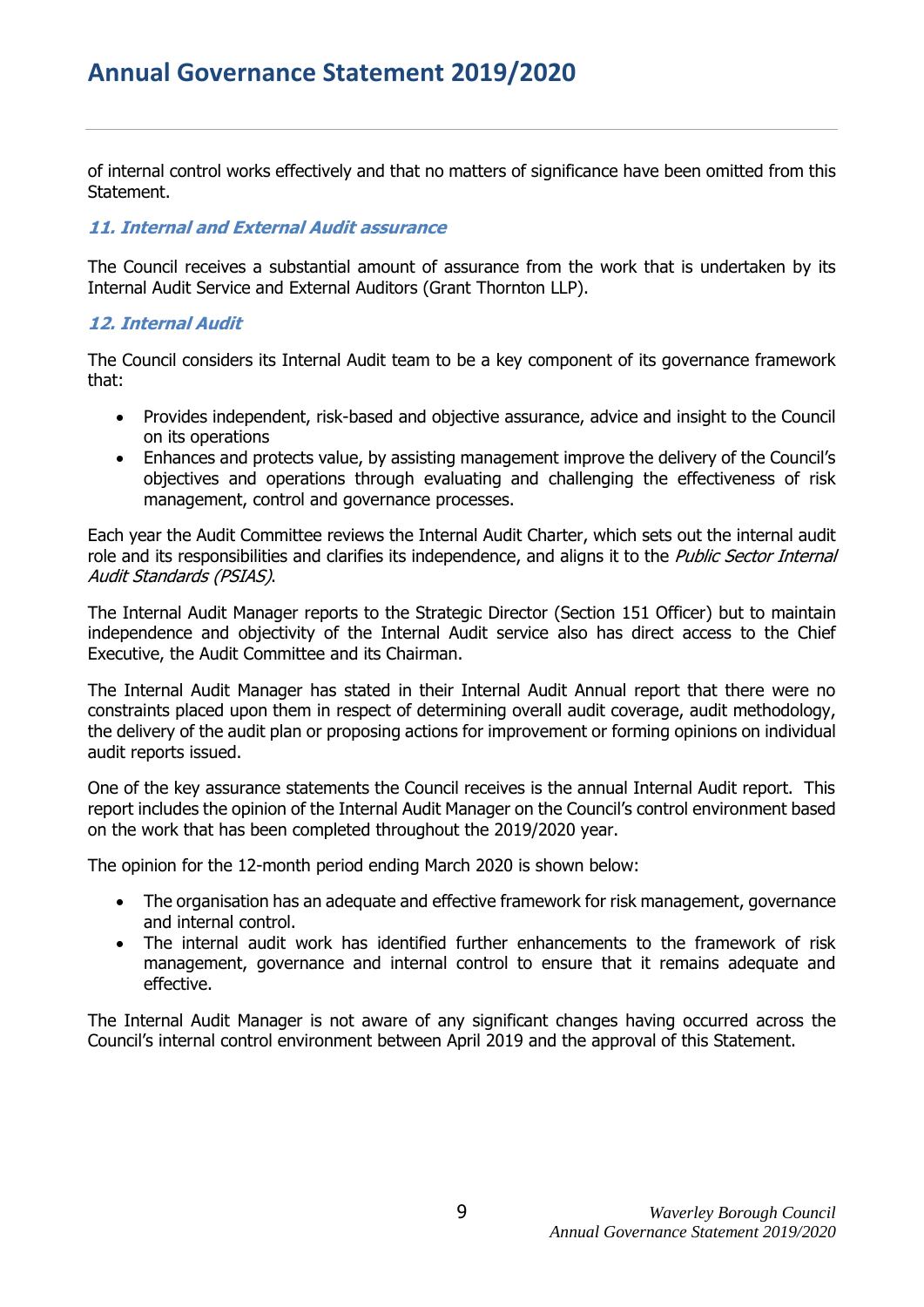## **Annual Governance Statement 2019/2020**

of internal control works effectively and that no matters of significance have been omitted from this Statement.

#### **11. Internal and External Audit assurance**

The Council receives a substantial amount of assurance from the work that is undertaken by its Internal Audit Service and External Auditors (Grant Thornton LLP).

#### **12. Internal Audit**

The Council considers its Internal Audit team to be a key component of its governance framework that:

- Provides independent, risk-based and objective assurance, advice and insight to the Council on its operations
- Enhances and protects value, by assisting management improve the delivery of the Council's objectives and operations through evaluating and challenging the effectiveness of risk management, control and governance processes.

Each year the Audit Committee reviews the Internal Audit Charter, which sets out the internal audit role and its responsibilities and clarifies its independence, and aligns it to the *Public Sector Internal* Audit Standards (PSIAS).

The Internal Audit Manager reports to the Strategic Director (Section 151 Officer) but to maintain independence and objectivity of the Internal Audit service also has direct access to the Chief Executive, the Audit Committee and its Chairman.

The Internal Audit Manager has stated in their Internal Audit Annual report that there were no constraints placed upon them in respect of determining overall audit coverage, audit methodology, the delivery of the audit plan or proposing actions for improvement or forming opinions on individual audit reports issued.

One of the key assurance statements the Council receives is the annual Internal Audit report. This report includes the opinion of the Internal Audit Manager on the Council's control environment based on the work that has been completed throughout the 2019/2020 year.

The opinion for the 12-month period ending March 2020 is shown below:

- The organisation has an adequate and effective framework for risk management, governance and internal control.
- The internal audit work has identified further enhancements to the framework of risk management, governance and internal control to ensure that it remains adequate and effective.

The Internal Audit Manager is not aware of any significant changes having occurred across the Council's internal control environment between April 2019 and the approval of this Statement.